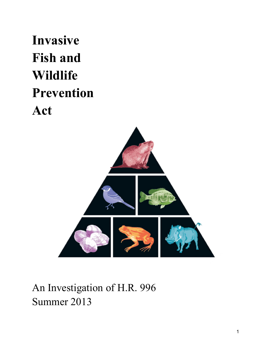# **Invasive Fish and Wildlife Prevention Act**



# An Investigation of H.R. 996 Summer 2013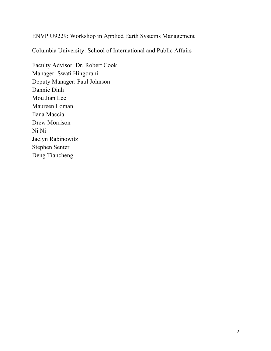#### ENVP U9229: Workshop in Applied Earth Systems Management

Columbia University: School of International and Public Affairs

Faculty Advisor: Dr. Robert Cook Manager: Swati Hingorani Deputy Manager: Paul Johnson Dannie Dinh Mou Jian Lee Maureen Loman Ilana Maccia Drew Morrison Ni Ni Jaclyn Rabinowitz Stephen Senter Deng Tiancheng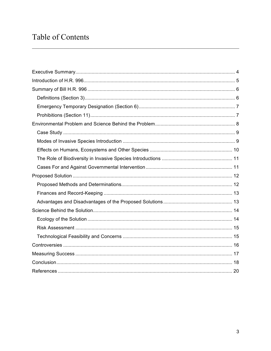# Table of Contents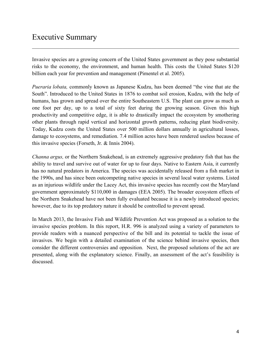Invasive species are a growing concern of the United States government as they pose substantial risks to the economy, the environment, and human health. This costs the United States \$120 billion each year for prevention and management (Pimentel et al. 2005).

 $\_$  , and the contribution of the contribution of the contribution of the contribution of  $\mathcal{L}_\text{max}$ 

*Pueraria lobata,* commonly known as Japanese Kudzu, has been deemed "the vine that ate the South". Introduced to the United States in 1876 to combat soil erosion, Kudzu, with the help of humans, has grown and spread over the entire Southeastern U.S. The plant can grow as much as one foot per day, up to a total of sixty feet during the growing season. Given this high productivity and competitive edge, it is able to drastically impact the ecosystem by smothering other plants through rapid vertical and horizontal growth patterns, reducing plant biodiversity. Today, Kudzu costs the United States over 500 million dollars annually in agricultural losses, damage to ecosystems, and remediation. 7.4 million acres have been rendered useless because of this invasive species (Forseth, Jr. & Innis 2004).

*Channa argus,* or the Northern Snakehead, is an extremely aggressive predatory fish that has the ability to travel and survive out of water for up to four days. Native to Eastern Asia, it currently has no natural predators in America. The species was accidentally released from a fish market in the 1990s, and has since been outcompeting native species in several local water systems. Listed as an injurious wildlife under the Lacey Act, this invasive species has recently cost the Maryland government approximately \$110,000 in damages (EEA 2005). The broader ecosystem effects of the Northern Snakehead have not been fully evaluated because it is a newly introduced species; however, due to its top predatory nature it should be controlled to prevent spread.

In March 2013, the Invasive Fish and Wildlife Prevention Act was proposed as a solution to the invasive species problem. In this report, H.R. 996 is analyzed using a variety of parameters to provide readers with a nuanced perspective of the bill and its potential to tackle the issue of invasives. We begin with a detailed examination of the science behind invasive species, then consider the different controversies and opposition. Next, the proposed solutions of the act are presented, along with the explanatory science. Finally, an assessment of the act's feasibility is discussed.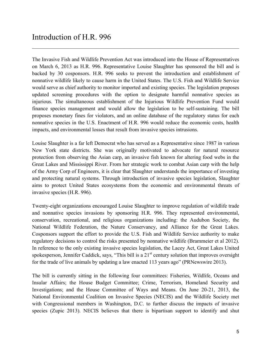The Invasive Fish and Wildlife Prevention Act was introduced into the House of Representatives on March 6, 2013 as H.R. 996. Representative Louise Slaughter has sponsored the bill and is backed by 30 cosponsors. H.R. 996 seeks to prevent the introduction and establishment of nonnative wildlife likely to cause harm in the United States. The U.S. Fish and Wildlife Service would serve as chief authority to monitor imported and existing species. The legislation proposes updated screening procedures with the option to designate harmful nonnative species as injurious. The simultaneous establishment of the Injurious Wildlife Prevention Fund would finance species management and would allow the legislation to be self-sustaining. The bill proposes monetary fines for violators, and an online database of the regulatory status for each nonnative species in the U.S. Enactment of H.R. 996 would reduce the economic costs, health impacts, and environmental losses that result from invasive species intrusions.

 $\_$  , and the contribution of the contribution of the contribution of the contribution of  $\mathcal{L}_\text{max}$ 

Louise Slaughter is a far left Democrat who has served as a Representative since 1987 in various New York state districts. She was originally motivated to advocate for natural resource protection from observing the Asian carp, an invasive fish known for altering food webs in the Great Lakes and Mississippi River. From her strategic work to combat Asian carp with the help of the Army Corp of Engineers, it is clear that Slaughter understands the importance of investing and protecting natural systems. Through introduction of invasive species legislation, Slaughter aims to protect United States ecosystems from the economic and environmental threats of invasive species (H.R. 996).

Twenty-eight organizations encouraged Louise Slaughter to improve regulation of wildlife trade and nonnative species invasions by sponsoring H.R. 996. They represented environmental, conservation, recreational, and religious organizations including: the Audubon Society, the National Wildlife Federation, the Nature Conservancy, and Alliance for the Great Lakes. Cosponsors support the effort to provide the U.S. Fish and Wildlife Service authority to make regulatory decisions to control the risks presented by nonnative wildlife (Brammeier et al 2012). In reference to the only existing invasive species legislation, the Lacey Act, Great Lakes United spokesperson, Jennifer Caddick, says, "This bill is a  $21<sup>st</sup>$  century solution that improves oversight for the trade of live animals by updating a law enacted 113 years ago" (PRNewswire 2013).

The bill is currently sitting in the following four committees: Fisheries, Wildlife, Oceans and Insular Affairs; the House Budget Committee; Crime, Terrorism, Homeland Security and Investigations; and the House Committee of Ways and Means. On June 20-21, 2013, the National Environmental Coalition on Invasive Species (NECIS) and the Wildlife Society met with Congressional members in Washington, D.C. to further discuss the impacts of invasive species (Zupic 2013). NECIS believes that there is bipartisan support to identify and shut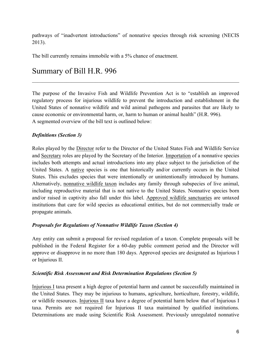pathways of "inadvertent introductions" of nonnative species through risk screening (NECIS 2013).

The bill currently remains immobile with a 5% chance of enactment.

# Summary of Bill H.R. 996

The purpose of the Invasive Fish and Wildlife Prevention Act is to "establish an improved regulatory process for injurious wildlife to prevent the introduction and establishment in the United States of nonnative wildlife and wild animal pathogens and parasites that are likely to cause economic or environmental harm, or, harm to human or animal health" (H.R. 996). A segmented overview of the bill text is outlined below:

 $\_$  , and the contribution of the contribution of the contribution of the contribution of  $\mathcal{L}_\text{max}$ 

#### *Definitions (Section 3)*

Roles played by the Director refer to the Director of the United States Fish and Wildlife Service and Secretary roles are played by the Secretary of the Interior. Importation of a nonnative species includes both attempts and actual introductions into any place subject to the jurisdiction of the United States. A native species is one that historically and/or currently occurs in the United States. This excludes species that were intentionally or unintentionally introduced by humans. Alternatively, nonnative wildlife taxon includes any family through subspecies of live animal, including reproductive material that is not native to the United States. Nonnative species born and/or raised in captivity also fall under this label. Approved wildlife sanctuaries are untaxed institutions that care for wild species as educational entities, but do not commercially trade or propagate animals.

#### *Proposals for Regulations of Nonnative Wildlife Taxon (Section 4)*

Any entity can submit a proposal for revised regulation of a taxon. Complete proposals will be published in the Federal Register for a 60-day public comment period and the Director will approve or disapprove in no more than 180 days. Approved species are designated as Injurious I or Injurious II.

#### *Scientific Risk Assessment and Risk Determination Regulations (Section 5)*

Injurious I taxa present a high degree of potential harm and cannot be successfully maintained in the United States. They may be injurious to humans, agriculture, horticulture, forestry, wildlife, or wildlife resources. Injurious II taxa have a degree of potential harm below that of Injurious I taxa. Permits are not required for Injurious II taxa maintained by qualified institutions. Determinations are made using Scientific Risk Assessment. Previously unregulated nonnative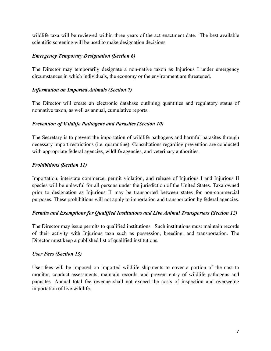wildlife taxa will be reviewed within three years of the act enactment date. The best available scientific screening will be used to make designation decisions.

#### *Emergency Temporary Designation (Section 6)*

The Director may temporarily designate a non-native taxon as Injurious I under emergency circumstances in which individuals, the economy or the environment are threatened.

#### *Information on Imported Animals (Section 7)*

The Director will create an electronic database outlining quantities and regulatory status of nonnative taxon, as well as annual, cumulative reports.

#### *Prevention of Wildlife Pathogens and Parasites (Section 10)*

The Secretary is to prevent the importation of wildlife pathogens and harmful parasites through necessary import restrictions (i.e. quarantine). Consultations regarding prevention are conducted with appropriate federal agencies, wildlife agencies, and veterinary authorities.

#### *Prohibitions (Section 11)*

Importation, interstate commerce, permit violation, and release of Injurious I and Injurious II species will be unlawful for all persons under the jurisdiction of the United States. Taxa owned prior to designation as Injurious II may be transported between states for non-commercial purposes. These prohibitions will not apply to importation and transportation by federal agencies.

#### *Permits and Exemptions for Qualified Institutions and Live Animal Transporters (Section 12)*

The Director may issue permits to qualified institutions. Such institutions must maintain records of their activity with Injurious taxa such as possession, breeding, and transportation. The Director must keep a published list of qualified institutions.

#### *User Fees (Section 13)*

User fees will be imposed on imported wildlife shipments to cover a portion of the cost to monitor, conduct assessments, maintain records, and prevent entry of wildlife pathogens and parasites. Annual total fee revenue shall not exceed the costs of inspection and overseeing importation of live wildlife.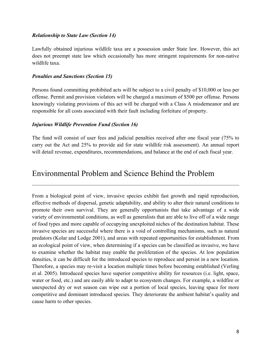#### *Relationship to State Law (Section 14)*

Lawfully obtained injurious wildlife taxa are a possession under State law. However, this act does not preempt state law which occasionally has more stringent requirements for non-native wildlife taxa.

#### *Penalties and Sanctions (Section 15)*

Persons found committing prohibited acts will be subject to a civil penalty of \$10,000 or less per offense. Permit and provision violators will be charged a maximum of \$500 per offense. Persons knowingly violating provisions of this act will be charged with a Class A misdemeanor and are responsible for all costs associated with their fault including forfeiture of property.

#### *Injurious Wildlife Prevention Fund (Section 16)*

The fund will consist of user fees and judicial penalties received after one fiscal year (75% to carry out the Act and 25% to provide aid for state wildlife risk assessment). An annual report will detail revenue, expenditures, recommendations, and balance at the end of each fiscal year.

 $\_$  , and the contribution of the contribution of the contribution of the contribution of  $\mathcal{L}_\text{max}$ 

## Environmental Problem and Science Behind the Problem

From a biological point of view, invasive species exhibit fast growth and rapid reproduction, effective methods of dispersal, genetic adaptability, and ability to alter their natural conditions to promote their own survival. They are generally opportunists that take advantage of a wide variety of environmental conditions, as well as generalists that are able to live off of a wide range of food types and more capable of occupying unexploited niches of the destination habitat. These invasive species are successful where there is a void of controlling mechanisms, such as natural predators (Kolar and Lodge 2001), and areas with repeated opportunities for establishment. From an ecological point of view, when determining if a species can be classified as invasive, we have to examine whether the habitat may enable the proliferation of the species. At low population densities, it can be difficult for the introduced species to reproduce and persist in a new location. Therefore, a species may re-visit a location multiple times before becoming established (Verling et al. 2005). Introduced species have superior competitive ability for resources (i.e. light, space, water or food, etc.) and are easily able to adapt to ecosystem changes. For example, a wildfire or unexpected dry or wet season can wipe out a portion of local species, leaving space for more competitive and dominant introduced species. They deteriorate the ambient habitat's quality and cause harm to other species.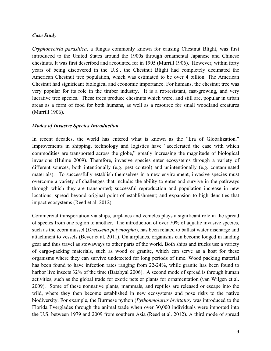#### *Case Study*

*Cryphonectria parasitica*, a fungus commonly known for causing Chestnut Blight, was first introduced to the United States around the 1900s through ornamental Japanese and Chinese chestnuts. It was first described and accounted for in 1905 (Murrill 1906). However, within forty years of being discovered in the U.S., the Chestnut Blight had completely decimated the American Chestnut tree population, which was estimated to be over 4 billion. The American Chestnut had significant biological and economic importance. For humans, the chestnut tree was very popular for its role in the timber industry. It is a rot-resistant, fast-growing, and very lucrative tree species. These trees produce chestnuts which were, and still are, popular in urban areas as a form of food for both humans, as well as a resource for small woodland creatures (Murrill 1906).

#### *Modes of Invasive Species Introduction*

In recent decades, the world has entered what is known as the "Era of Globalization." Improvements in shipping, technology and logistics have "accelerated the ease with which commodities are transported across the globe," greatly increasing the magnitude of biological invasions (Hulme 2009). Therefore, invasive species enter ecosystems through a variety of different sources, both intentionally (e.g. pest control) and unintentionally (e.g. contaminated materials). To successfully establish themselves in a new environment, invasive species must overcome a variety of challenges that include: the ability to enter and survive in the pathways through which they are transported; successful reproduction and population increase in new locations; spread beyond original point of establishment; and expansion to high densities that impact ecosystems (Reed et al. 2012).

Commercial transportation via ships, airplanes and vehicles plays a significant role in the spread of species from one region to another. The introduction of over 70% of aquatic invasive species, such as the zebra mussel (*Dreissena polymorpha*), has been related to ballast water discharge and attachment to vessels (Beyer et al. 2011). On airplanes, organisms can become lodged in landing gear and thus travel as stowaways to other parts of the world. Both ships and trucks use a variety of cargo-packing materials, such as wood or granite, which can serve as a host for these organisms where they can survive undetected for long periods of time. Wood packing material has been found to have infection rates ranging from 22-24%, while granite has been found to harbor live insects 32% of the time (Batabyal 2006). A second mode of spread is through human activities, such as the global trade for exotic pets or plants for ornamentation (van Wilgen et al. 2009). Some of these nonnative plants, mammals, and reptiles are released or escape into the wild, where they then become established in new ecosystems and pose risks to the native biodiversity. For example, the Burmese python (*Pythonmolurus bivittatus)* was introduced to the Florida Everglades through the animal trade when over 30,000 individuals were imported into the U.S. between 1979 and 2009 from southern Asia (Reed et al. 2012). A third mode of spread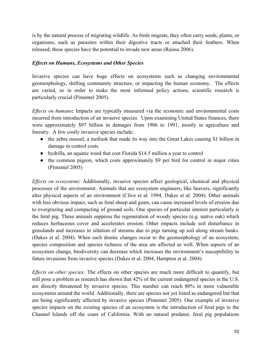is by the natural process of migrating wildlife. As birds migrate, they often carry seeds, plants, or organisms, such as parasites within their digestive tracts or attached their feathers. When released, these species have the potential to invade new areas (Raissa 2006).

#### *Effects on Humans, Ecosystems and Other Species*

Invasive species can have huge effects on ecosystems such as changing environmental geomorphology, shifting community structure, or impacting the human economy. The effects are varied, so in order to make the most informed policy actions, scientific research is particularly crucial (Pimentel 2005).

*Effects on humans***:** Impacts are typically measured via the economic and environmental costs incurred from introduction of an invasive species. Upon examining United States finances, there were approximately \$97 billion in damages from 1906 to 1991, mostly in agriculture and forestry. A few costly invasive species include:

- the zebra mussel, a mollusk that made its way into the Great Lakes causing \$1 billion in damage in control costs
- hydrilla, an aquatic weed that cost Florida \$14.5 million a year to control
- the common pigeon, which costs approximately \$9 per bird for control in major cities (Pimentel 2005)

*Effects on ecosystems*: Additionally, invasive species affect geological, chemical and physical processes of the environment. Animals that are ecosystem engineers, like beavers, significantly alter physical aspects of an environment (Clive et al. 1994, Dukes et al. 2004). Other animals with less obvious impact, such as feral sheep and goats, can cause increased levels of erosion due to overgrazing and compacting of ground soils. One species of particular interest particularly is the feral pig. These animals suppress the regeneration of woody species (e.g. native oak) which reduces herbaceous cover and accelerates erosion. Other impacts include soil disturbance in grasslands and increases in siltation of streams due to pigs turning up soil along stream banks. (Dukes et al. 2004). When such drastic changes occur to the geomorphology of an ecosystem, species composition and species richness of the area are affected as well. When aspects of an ecosystem change, biodiversity can decrease which increases the environment's susceptibility to future invasions from invasive species (Dukes et al. 2004, Hampton et al. 2004).

*Effects on other species:* The effects on other species are much more difficult to quantify, but still pose a problem as research has shown that 42% of the current endangered species in the U.S. are directly threatened by invasive species. This number can reach 80% in more vulnerable ecosystems around the world. Additionally, there are species not yet listed as endangered but that are being significantly affected by invasive species (Pimentel 2005). One example of invasive species impacts on the existing species of an ecosystem is the introduction of feral pigs to the Channel Islands off the coast of California. With no natural predator, feral pig populations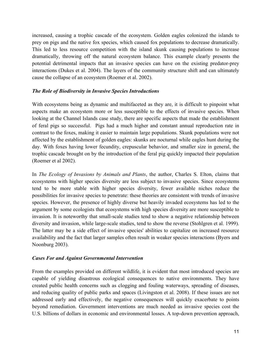increased, causing a trophic cascade of the ecosystem. Golden eagles colonized the islands to prey on pigs and the native fox species, which caused fox populations to decrease dramatically. This led to less resource competition with the island skunk causing populations to increase dramatically, throwing off the natural ecosystem balance. This example clearly presents the potential detrimental impacts that an invasive species can have on the existing predator-prey interactions (Dukes et al. 2004). The layers of the community structure shift and can ultimately cause the collapse of an ecosystem (Roemer et al. 2002).

#### *The Role of Biodiversity in Invasive Species Introductions*

With ecosystems being as dynamic and multifaceted as they are, it is difficult to pinpoint what aspects make an ecosystem more or less susceptible to the effects of invasive species. When looking at the Channel Islands case study, there are specific aspects that made the establishment of feral pigs so successful. Pigs had a much higher and constant annual reproduction rate in contrast to the foxes, making it easier to maintain large populations. Skunk populations were not affected by the establishment of golden eagles: skunks are nocturnal while eagles hunt during the day. With foxes having lower fecundity, crepuscular behavior, and smaller size in general, the trophic cascade brought on by the introduction of the feral pig quickly impacted their population (Roemer et al 2002).

In *The Ecology of Invasions by Animals and Plants*, the author, Charles S. Elton, claims that ecosystems with higher species diversity are less subject to invasive species. Since ecosystems tend to be more stable with higher species diversity, fewer available niches reduce the possibilities for invasive species to penetrate: these theories are consistent with trends of invasive species. However, the presence of highly diverse but heavily invaded ecosystems has led to the argument by some ecologists that ecosystems with high species diversity are more susceptible to invasion. It is noteworthy that small-scale studies tend to show a negative relationship between diversity and invasion, while large-scale studies, tend to show the reverse (Stohlgren et al. 1999). The latter may be a side effect of invasive species' abilities to capitalize on increased resource availability and the fact that larger samples often result in weaker species interactions (Byers and Noonburg 2003).

#### *Cases For and Against Governmental Intervention*

From the examples provided on different wildlife, it is evident that most introduced species are capable of yielding disastrous ecological consequences to native environments. They have created public health concerns such as clogging and fouling waterways, spreading of diseases, and reducing quality of public parks and spaces (Livingston et al. 2008). If these issues are not addressed early and effectively, the negative consequences will quickly exacerbate to points beyond remediation. Government interventions are much needed as invasive species cost the U.S. billions of dollars in economic and environmental losses. A top-down prevention approach,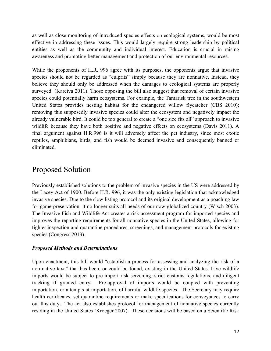as well as close monitoring of introduced species effects on ecological systems, would be most effective in addressing these issues. This would largely require strong leadership by political entities as well as the community and individual interest. Education is crucial in raising awareness and promoting better management and protection of our environmental resources.

While the proponents of H.R. 996 agree with its purposes, the opponents argue that invasive species should not be regarded as "culprits" simply because they are nonnative. Instead, they believe they should only be addressed when the damages to ecological systems are properly surveyed (Kareiva 2011). Those opposing the bill also suggest that removal of certain invasive species could potentially harm ecosystems. For example, the Tamarisk tree in the southwestern United States provides nesting habitat for the endangered willow flycatcher (CBS 2010); removing this supposedly invasive species could alter the ecosystem and negatively impact the already vulnerable bird. It could be too general to create a "one size fits all" approach to invasive wildlife because they have both positive and negative effects on ecosystems (Davis 2011). A final argument against H.R.996 is it will adversely affect the pet industry, since most exotic reptiles, amphibians, birds, and fish would be deemed invasive and consequently banned or eliminated.

# Proposed Solution

Previously established solutions to the problem of invasive species in the US were addressed by the Lacey Act of 1900. Before H.R. 996, it was the only existing legislation that acknowledged invasive species. Due to the slow listing protocol and its original development as a poaching law for game preservation, it no longer suits all needs of our now globalized country (Wisch 2003). The Invasive Fish and Wildlife Act creates a risk assessment program for imported species and improves the reporting requirements for all nonnative species in the United States, allowing for tighter inspection and quarantine procedures, screenings, and management protocols for existing species (Congress 2013).

 $\_$  , and the contribution of the contribution of the contribution of the contribution of  $\mathcal{L}_\text{max}$ 

#### *Proposed Methods and Determinations*

Upon enactment, this bill would "establish a process for assessing and analyzing the risk of a non-native taxa" that has been, or could be found, existing in the United States. Live wildlife imports would be subject to pre-import risk screening, strict customs regulations, and diligent tracking if granted entry. Pre-approval of imports would be coupled with preventing importation, or attempts at importation, of harmful wildlife species. The Secretary may require health certificates, set quarantine requirements or make specifications for conveyances to carry out this duty. The act also establishes protocol for management of nonnative species currently residing in the United States (Kroeger 2007). These decisions will be based on a Scientific Risk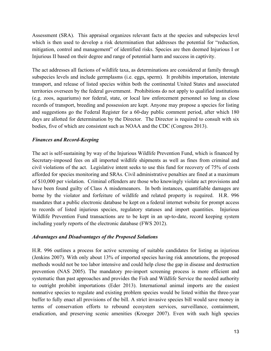Assessment (SRA). This appraisal organizes relevant facts at the species and subspecies level which is then used to develop a risk determination that addresses the potential for "reduction, mitigation, control and management" of identified risks. Species are then deemed Injurious I or Injurious II based on their degree and range of potential harm and success in captivity.

The act addresses all factions of wildlife taxa, as determinations are considered at family through subspecies levels and include germplasms (i.e. eggs, sperm). It prohibits importation, interstate transport, and release of listed species within both the continental United States and associated territories overseen by the federal government. Prohibitions do not apply to qualified institutions (e.g. zoos, aquariums) nor federal, state, or local law enforcement personnel so long as close records of transport, breeding and possession are kept. Anyone may propose a species for listing and suggestions go the Federal Register for a 60-day public comment period, after which 180 days are allotted for determination by the Director. The Director is required to consult with six bodies, five of which are consistent such as NOAA and the CDC (Congress 2013).

#### *Finances and Record-Keeping*

The act is self-sustaining by way of the Injurious Wildlife Prevention Fund, which is financed by Secretary-imposed fees on all imported wildlife shipments as well as fines from criminal and civil violations of the act. Legislative intent seeks to use this fund for recovery of 75% of costs afforded for species monitoring and SRAs. Civil administrative penalties are fined at a maximum of \$10,000 per violation. Criminal offenders are those who knowingly violate act provisions and have been found guilty of Class A misdemeanors. In both instances, quantifiable damages are borne by the violator and forfeiture of wildlife and related property is required. H.R. 996 mandates that a public electronic database be kept on a federal internet website for prompt access to records of listed injurious species, regulatory statuses and import quantities. Injurious Wildlife Prevention Fund transactions are to be kept in an up-to-date, record keeping system including yearly reports of the electronic database (FWS 2012).

#### *Advantages and Disadvantages of the Proposed Solutions*

H.R. 996 outlines a process for active screening of suitable candidates for listing as injurious (Jenkins 2007). With only about 13% of imported species having risk annotations, the proposed methods would not be too labor intensive and could help close the gap in disease and destruction prevention (NAS 2005). The mandatory pre-import screening process is more efficient and systematic than past approaches and provides the Fish and Wildlife Service the needed authority to outright prohibit importations (Eder 2013). International animal imports are the easiest nonnative species to regulate and existing problem species would be listed within the three-year buffer to fully enact all provisions of the bill. A strict invasive species bill would save money in terms of conservation efforts to rebound ecosystem services, surveillance, containment, eradication, and preserving scenic amenities (Kroeger 2007). Even with such high species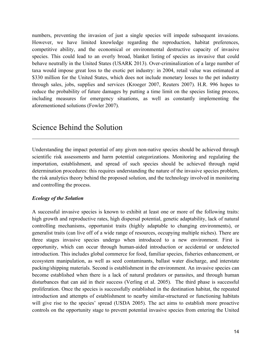numbers, preventing the invasion of just a single species will impede subsequent invasions. However, we have limited knowledge regarding the reproduction, habitat preferences, competitive ability, and the economical or environmental destructive capacity of invasive species. This could lead to an overly broad, blanket listing of species as invasive that could behave neutrally in the United States (USARK 2013). Over-criminalization of a large number of taxa would impose great loss to the exotic pet industry: in 2004, retail value was estimated at \$330 million for the United States, which does not include monetary losses to the pet industry through sales, jobs, supplies and services (Kroeger 2007, Reuters 2007). H.R. 996 hopes to reduce the probability of future damages by putting a time limit on the species listing process, including measures for emergency situations, as well as constantly implementing the aforementioned solutions (Fowler 2007).

# Science Behind the Solution

Understanding the impact potential of any given non-native species should be achieved through scientific risk assessments and harm potential categorizations. Monitoring and regulating the importation, establishment, and spread of such species should be achieved through rapid determination procedures: this requires understanding the nature of the invasive species problem, the risk analytics theory behind the proposed solution, and the technology involved in monitoring and controlling the process.

 $\mathcal{L}_\mathcal{L} = \{ \mathcal{L}_\mathcal{L} = \{ \mathcal{L}_\mathcal{L} = \{ \mathcal{L}_\mathcal{L} = \{ \mathcal{L}_\mathcal{L} = \{ \mathcal{L}_\mathcal{L} = \{ \mathcal{L}_\mathcal{L} = \{ \mathcal{L}_\mathcal{L} = \{ \mathcal{L}_\mathcal{L} = \{ \mathcal{L}_\mathcal{L} = \{ \mathcal{L}_\mathcal{L} = \{ \mathcal{L}_\mathcal{L} = \{ \mathcal{L}_\mathcal{L} = \{ \mathcal{L}_\mathcal{L} = \{ \mathcal{L}_\mathcal{$ 

#### *Ecology of the Solution*

A successful invasive species is known to exhibit at least one or more of the following traits: high growth and reproductive rates, high dispersal potential, genetic adaptability, lack of natural controlling mechanisms, opportunist traits (highly adaptable to changing environments), or generalist traits (can live off of a wide range of resources, occupying multiple niches). There are three stages invasive species undergo when introduced to a new environment. First is opportunity, which can occur through human-aided introduction or accidental or undetected introduction. This includes global commerce for food, familiar species, fisheries enhancement, or ecosystem manipulation, as well as seed contaminants, ballast water discharge, and interstate packing/shipping materials. Second is establishment in the environment. An invasive species can become established when there is a lack of natural predators or parasites, and through human disturbances that can aid in their success (Verling et al. 2005). The third phase is successful proliferation. Once the species is successfully established in the destination habitat, the repeated introduction and attempts of establishment to nearby similar-structured or functioning habitats will give rise to the species' spread (USDA 2005). The act aims to establish more proactive controls on the opportunity stage to prevent potential invasive species from entering the United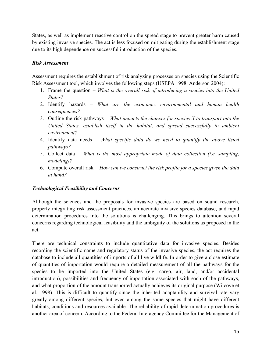States, as well as implement reactive control on the spread stage to prevent greater harm caused by existing invasive species. The act is less focused on mitigating during the establishment stage due to its high dependence on successful introduction of the species.

#### *Risk Assessment*

Assessment requires the establishment of risk analyzing processes on species using the Scientific Risk Assessment tool, which involves the following steps (USEPA 1998, Anderson 2004):

- 1. Frame the question *What is the overall risk of introducing a species into the United States?*
- 2. Identify hazards *What are the economic, environmental and human health consequences?*
- 3. Outline the risk pathways *What impacts the chances for species X to transport into the United States, establish itself in the habitat, and spread successfully to ambient environment?*
- 4. Identify data needs *What specific data do we need to quantify the above listed pathways?*
- 5. Collect data *What is the most appropriate mode of data collection (i.e. sampling, modeling)?*
- 6. Compute overall risk *How can we construct the risk profile for a species given the data at hand?*

#### *Technological Feasibility and Concerns*

Although the sciences and the proposals for invasive species are based on sound research, properly integrating risk assessment practices, an accurate invasive species database, and rapid determination procedures into the solutions is challenging. This brings to attention several concerns regarding technological feasibility and the ambiguity of the solutions as proposed in the act.

There are technical constraints to include quantitative data for invasive species. Besides recording the scientific name and regulatory status of the invasive species, the act requires the database to include all quantities of imports of all live wildlife. In order to give a close estimate of quantities of importation would require a detailed measurement of all the pathways for the species to be imported into the United States (e.g. cargo, air, land, and/or accidental introduction), possibilities and frequency of importation associated with each of the pathways, and what proportion of the amount transported actually achieves its original purpose (Wilcove et al. 1998). This is difficult to quantify since the inherited adaptability and survival rate vary greatly among different species, but even among the same species that might have different habitats, conditions and resources available. The reliability of rapid determination procedures is another area of concern. According to the Federal Interagency Committee for the Management of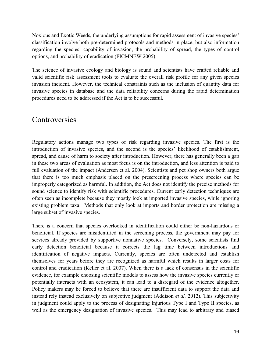Noxious and Exotic Weeds, the underlying assumptions for rapid assessment of invasive species' classification involve both pre-determined protocols and methods in place, but also information regarding the species' capability of invasion, the probability of spread, the types of control options, and probability of eradication (FICMNEW 2005).

The science of invasive ecology and biology is sound and scientists have crafted reliable and valid scientific risk assessment tools to evaluate the overall risk profile for any given species invasion incident. However, the technical constraints such as the inclusion of quantity data for invasive species in database and the data reliability concerns during the rapid determination procedures need to be addressed if the Act is to be successful.

 $\mathcal{L}_\mathcal{L} = \{ \mathcal{L}_\mathcal{L} = \{ \mathcal{L}_\mathcal{L} = \{ \mathcal{L}_\mathcal{L} = \{ \mathcal{L}_\mathcal{L} = \{ \mathcal{L}_\mathcal{L} = \{ \mathcal{L}_\mathcal{L} = \{ \mathcal{L}_\mathcal{L} = \{ \mathcal{L}_\mathcal{L} = \{ \mathcal{L}_\mathcal{L} = \{ \mathcal{L}_\mathcal{L} = \{ \mathcal{L}_\mathcal{L} = \{ \mathcal{L}_\mathcal{L} = \{ \mathcal{L}_\mathcal{L} = \{ \mathcal{L}_\mathcal{$ 

# **Controversies**

Regulatory actions manage two types of risk regarding invasive species. The first is the introduction of invasive species, and the second is the species' likelihood of establishment, spread, and cause of harm to society after introduction. However, there has generally been a gap in these two areas of evaluation as most focus is on the introduction, and less attention is paid to full evaluation of the impact (Andersen et al. 2004). Scientists and pet shop owners both argue that there is too much emphasis placed on the prescreening process where species can be improperly categorized as harmful. In addition, the Act does not identify the precise methods for sound science to identify risk with scientific procedures. Current early detection techniques are often seen as incomplete because they mostly look at imported invasive species, while ignoring existing problem taxa. Methods that only look at imports and border protection are missing a large subset of invasive species.

There is a concern that species overlooked in identification could either be non-hazardous or beneficial. If species are misidentified in the screening process, the government may pay for services already provided by supportive nonnative species. Conversely, some scientists find early detection beneficial because it corrects the lag time between introductions and identification of negative impacts. Currently, species are often undetected and establish themselves for years before they are recognized as harmful which results in larger costs for control and eradication (Keller et al. 2007). When there is a lack of consensus in the scientific evidence, for example choosing scientific models to assess how the invasive species currently or potentially interacts with an ecosystem, it can lead to a disregard of the evidence altogether. Policy makers may be forced to believe that there are insufficient data to support the data and instead rely instead exclusively on subjective judgment (Addison *et al.* 2012). This subjectivity in judgment could apply to the process of designating Injurious Type I and Type II species, as well as the emergency designation of invasive species. This may lead to arbitrary and biased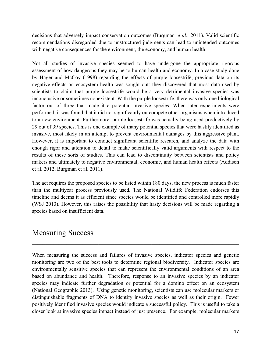decisions that adversely impact conservation outcomes (Burgman *et al*., 2011). Valid scientific recommendations disregarded due to unstructured judgments can lead to unintended outcomes with negative consequences for the environment, the economy, and human health.

Not all studies of invasive species seemed to have undergone the appropriate rigorous assessment of how dangerous they may be to human health and economy. In a case study done by Hager and McCoy (1998) regarding the effects of purple loosestrife, previous data on its negative effects on ecosystem health was sought out: they discovered that most data used by scientists to claim that purple loosestrife would be a very detrimental invasive species was inconclusive or sometimes nonexistent. With the purple loosestrife, there was only one biological factor out of three that made it a potential invasive species. When later experiments were performed, it was found that it did not significantly outcompete other organisms when introduced to a new environment. Furthermore, purple loosestrife was actually being used productively by 29 out of 39 species. This is one example of many potential species that were hastily identified as invasive, most likely in an attempt to prevent environmental damages by this aggressive plant. However, it is important to conduct significant scientific research, and analyze the data with enough rigor and attention to detail to make scientifically valid arguments with respect to the results of these sorts of studies. This can lead to discontinuity between scientists and policy makers and ultimately to negative environmental, economic, and human health effects (Addison et al. 2012, Burgman et al. 2011).

The act requires the proposed species to be listed within 180 days, the new process is much faster than the multiyear process previously used. The National Wildlife Federation endorses this timeline and deems it as efficient since species would be identified and controlled more rapidly (WSJ 2013). However, this raises the possibility that hasty decisions will be made regarding a species based on insufficient data.

## Measuring Success

When measuring the success and failures of invasive species, indicator species and genetic monitoring are two of the best tools to determine regional biodiversity. Indicator species are environmentally sensitive species that can represent the environmental conditions of an area based on abundance and health. Therefore, response to an invasive species by an indicator species may indicate further degradation or potential for a domino effect on an ecosystem (National Geographic 2013). Using genetic monitoring, scientists can use molecular markers or distinguishable fragments of DNA to identify invasive species as well as their origin. Fewer positively identified invasive species would indicate a successful policy. This is useful to take a closer look at invasive species impact instead of just presence. For example, molecular markers

 $\mathcal{L}_\mathcal{L} = \{ \mathcal{L}_\mathcal{L} = \{ \mathcal{L}_\mathcal{L} = \{ \mathcal{L}_\mathcal{L} = \{ \mathcal{L}_\mathcal{L} = \{ \mathcal{L}_\mathcal{L} = \{ \mathcal{L}_\mathcal{L} = \{ \mathcal{L}_\mathcal{L} = \{ \mathcal{L}_\mathcal{L} = \{ \mathcal{L}_\mathcal{L} = \{ \mathcal{L}_\mathcal{L} = \{ \mathcal{L}_\mathcal{L} = \{ \mathcal{L}_\mathcal{L} = \{ \mathcal{L}_\mathcal{L} = \{ \mathcal{L}_\mathcal{$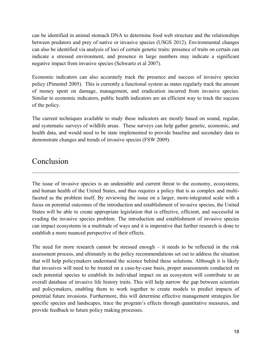can be identified in animal stomach DNA to determine food web structure and the relationships between predators and prey of native or invasive species (USGS 2012). Environmental changes can also be identified via analysis of loci of certain genetic traits: presence of traits on certain can indicate a stressed environment, and presence in large numbers may indicate a significant negative impact from invasive species (Schwartz et al 2007).

Economic indicators can also accurately track the presence and success of invasive species policy (Pimentel 2005). This is currently a functional system as states regularly track the amount of money spent on damage, management, and eradication incurred from invasive species. Similar to economic indicators, public health indicators are an efficient way to track the success of the policy.

The current techniques available to study these indicators are mostly based on sound, regular, and systematic surveys of wildlife areas. These surveys can help gather genetic, economic, and health data, and would need to be state implemented to provide baseline and secondary data to demonstrate changes and trends of invasive species (FSW 2009).

# Conclusion

The issue of invasive species is an undeniable and current threat to the economy, ecosystems, and human health of the United States, and thus requires a policy that is as complex and multifaceted as the problem itself. By reviewing the issue on a larger, more-integrated scale with a focus on potential outcomes of the introduction and establishment of invasive species, the United States will be able to create appropriate legislation that is effective, efficient, and successful in evading the invasive species problem. The introduction and establishment of invasive species can impact ecosystems in a multitude of ways and it is imperative that further research is done to establish a more nuanced perspective of their effects.

 $\_$  , and the contribution of the contribution of the contribution of the contribution of  $\mathcal{L}_\text{max}$ 

The need for more research cannot be stressed enough – it needs to be reflected in the risk assessment process, and ultimately in the policy recommendations set out to address the situation that will help policymakers understand the science behind these solutions. Although it is likely that invasives will need to be treated on a case-by-case basis, proper assessments conducted on each potential species to establish its individual impact on an ecosystem will contribute to an overall database of invasive life history traits. This will help narrow the gap between scientists and policymakers, enabling them to work together to create models to predict impacts of potential future invasions. Furthermore, this will determine effective management strategies for specific species and landscapes, trace the program's effects through quantitative measures, and provide feedback to future policy making processes.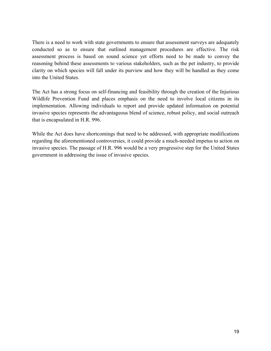There is a need to work with state governments to ensure that assessment surveys are adequately conducted so as to ensure that outlined management procedures are effective. The risk assessment process is based on sound science yet efforts need to be made to convey the reasoning behind these assessments to various stakeholders, such as the pet industry, to provide clarity on which species will fall under its purview and how they will be handled as they come into the United States.

The Act has a strong focus on self-financing and feasibility through the creation of the Injurious Wildlife Prevention Fund and places emphasis on the need to involve local citizens in its implementation. Allowing individuals to report and provide updated information on potential invasive species represents the advantageous blend of science, robust policy, and social outreach that is encapsulated in H.R. 996.

While the Act does have shortcomings that need to be addressed, with appropriate modifications regarding the aforementioned controversies, it could provide a much-needed impetus to action on invasive species. The passage of H.R. 996 would be a very progressive step for the United States government in addressing the issue of invasive species.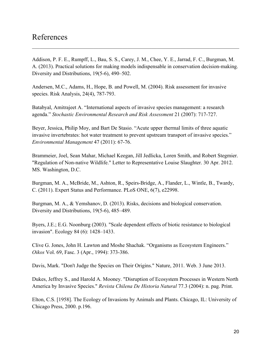### References

Addison, P. F. E., Rumpff, L., Bau, S. S., Carey, J. M., Chee, Y. E., Jarrad, F. C., Burgman, M. A. (2013). Practical solutions for making models indispensable in conservation decision-making. Diversity and Distributions, 19(5-6), 490–502.

 $\_$  , and the contribution of the contribution of the contribution of the contribution of  $\mathcal{L}_\text{max}$ 

Andersen, M.C., Adams, H., Hope, B. and Powell, M. (2004). Risk assessment for invasive species. Risk Analysis, 24(4), 787-793.

Batabyal, Amitrajeet A. "International aspects of invasive species management: a research agenda." *Stochastic Environmental Research and Risk Assessment* 21 (2007): 717-727.

Beyer, Jessica, Philip Moy, and Bart De Stasio. "Acute upper thermal limits of three aquatic invasive invertebrates: hot water treatment to prevent upstream transport of invasive species." *Environmental Management* 47 (2011): 67-76.

Brammeier, Joel, Sean Mahar, Michael Keegan, Jill Jedlicka, Loren Smith, and Robert Stegmier. "Regulation of Non-native Wildlife." Letter to Representative Louise Slaughter. 30 Apr. 2012. MS. Washington, D.C.

Burgman, M. A., McBride, M., Ashton, R., Speirs-Bridge, A., Flander, L., Wintle, B., Twardy, C. (2011). Expert Status and Performance. PLoS ONE, 6(7), e22998.

Burgman, M. A., & Yemshanov, D. (2013). Risks, decisions and biological conservation. Diversity and Distributions, 19(5-6), 485–489.

Byers, J.E.; E.G. Noonburg (2003). "Scale dependent effects of biotic resistance to biological invasion". Ecology 84 (6): 1428–1433.

Clive G. Jones, John H. Lawton and Moshe Shachak. "Organisms as Ecosystem Engineers." *Oikos* Vol. 69, Fasc. 3 (Apr., 1994): 373-386.

Davis, Mark. "Don't Judge the Species on Their Origins." Nature, 2011. Web. 3 June 2013.

Dukes, Jeffrey S., and Harold A. Mooney. "Disruption of Ecosystem Processes in Western North America by Invasive Species." *Revista Chilena De Historia Natural* 77.3 (2004): n. pag. Print.

Elton, C.S. [1958]. The Ecology of Invasions by Animals and Plants. Chicago, IL: University of Chicago Press, 2000. p.196.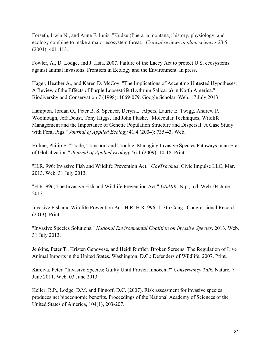Forseth, Irwin N., and Anne F. Innis. "Kudzu (Pueraria montana): history, physiology, and ecology combine to make a major ecosystem threat." *Critical reviews in plant sciences* 23.5 (2004): 401-413.

Fowler, A., D. Lodge, and J. Hsia. 2007. Failure of the Lacey Act to protect U.S. ecosystems against animal invasions. Frontiers in Ecology and the Environment. In press.

Hager, Heather A., and Karen D. McCoy. "The Implications of Accepting Untested Hypotheses: A Review of the Effects of Purple Loosestrife (Lythrum Salicaria) in North America." Biodiversity and Conservation 7 (1998): 1069-079. Google Scholar. Web. 17 July 2013.

Hampton, Jordan O., Peter B. S. Spencer, Deryn L. Alpers, Laurie E. Twigg, Andrew P. Woolnough, Jeff Doust, Tony Higgs, and John Pluske. "Molecular Techniques, Wildlife Management and the Importance of Genetic Population Structure and Dispersal: A Case Study with Feral Pigs." *Journal of Applied Ecology* 41.4 (2004): 735-43. Web.

Hulme, Philip E. "Trade, Transport and Trouble: Managing Invasive Species Pathways in an Era of Globalization." *Journal of Applied Ecology* 46.1 (2009): 10-18. Print.

"H.R. 996: Invasive Fish and Wildlife Prevention Act." *GovTrack.us*. Civic Impulse LLC, Mar. 2013. Web. 31 July 2013.

"H.R. 996, The Invasive Fish and Wildlife Prevention Act." *USARK*. N.p., n.d. Web. 04 June 2013.

Invasive Fish and Wildlife Prevention Act, H.R. H.R. 996, 113th Cong., Congressional Record (2013). Print.

"Invasive Species Solutions." *National Environmental Coalition on Invasive Species*. 2013. Web. 31 July 2013.

Jenkins, Peter T., Kristen Genovese, and Heidi Ruffler. Broken Screens: The Regulation of Live Animal Imports in the United States. Washington, D.C.: Defenders of Wildlife, 2007. Print.

Kareiva, Peter. "Invasive Species: Guilty Until Proven Innocent?" *Conservancy Talk*. Nature, 7 June 2011. Web. 03 June 2013.

Keller, R.P., Lodge, D.M. and Finnoff, D.C. (2007). Risk assessment for invasive species produces net bioeconomic benefits. Proceedings of the National Academy of Sciences of the United States of America, 104(1), 203-207.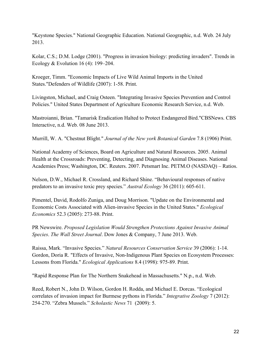"Keystone Species." National Geographic Education. National Geographic, n.d. Web. 24 July 2013.

Kolar, C.S.; D.M. Lodge (2001). "Progress in invasion biology: predicting invaders". Trends in Ecology & Evolution 16 (4): 199–204.

Kroeger, Timm. "Economic Impacts of Live Wild Animal Imports in the United States."Defenders of Wildlife (2007): 1-58. Print.

Livingston, Michael, and Craig Osteen. "Integrating Invasive Species Prevention and Control Policies." United States Department of Agriculture Economic Research Service, n.d. Web.

Mastroianni, Brian. "Tamarisk Eradication Halted to Protect Endangered Bird."CBSNews. CBS Interactive, n.d. Web. 08 June 2013.

Murrill, W. A. "Chestnut Blight." *Journal of the New york Botanical Garden* 7.8 (1906) Print.

National Academy of Sciences, Board on Agriculture and Natural Resources. 2005. Animal Health at the Crossroads: Preventing, Detecting, and Diagnosing Animal Diseases. National Academies Press; Washington, DC. Reuters. 2007. Petsmart Inc. PETM.O (NASDAQ) – Ratios.

Nelson, D.W., Michael R. Crossland, and Richard Shine. "Behavioural responses of native predators to an invasive toxic prey species." *Austral Ecology* 36 (2011): 605-611.

Pimentel, David, Rodolfo Zuniga, and Doug Morrison. "Update on the Environmental and Economic Costs Associated with Alien-invasive Species in the United States." *Ecological Economics* 52.3 (2005): 273-88. Print.

PR Newswire. *Proposed Legislation Would Strengthen Protections Against Invasive Animal Species*. *The Wall Street Journal*. Dow Jones & Company, 7 June 2013. Web.

Raissa, Mark. "Invasive Species." *Natural Resources Conservation Service* 39 (2006): 1-14. Gordon, Doria R. "Effects of Invasive, Non-Indigenous Plant Species on Ecosystem Processes: Lessons from Florida." *Ecological Applications* 8.4 (1998): 975-89. Print.

"Rapid Response Plan for The Northern Snakehead in Massachusetts." N.p., n.d. Web.

Reed, Robert N., John D. Wilson, Gordon H. Rodda, and Michael E. Dorcas. "Ecological correlates of invasion impact for Burmese pythons in Florida." *Integrative Zoology* 7 (2012): 254-270. "Zebra Mussels." *Scholastic News* 71 (2009): 5.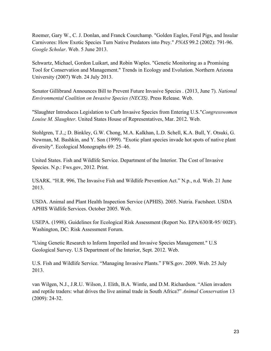Roemer, Gary W., C. J. Donlan, and Franck Courchamp. "Golden Eagles, Feral Pigs, and Insular Carnivores: How Exotic Species Turn Native Predators into Prey." *PNAS* 99.2 (2002): 791-96. *Google Scholar*. Web. 5 June 2013.

Schwartz, Michael, Gordon Luikart, and Robin Waples. "Genetic Monitoring as a Promising Tool for Conservation and Management." Trends in Ecology and Evolution. Northern Arizona University (2007) Web. 24 July 2013.

Senator Gillibrand Announces Bill to Prevent Future Invasive Species . (2013, June 7). *National Environmental Coalition on Invasive Species (NECIS)*. Press Release. Web.

"Slaughter Introduces Legislation to Curb Invasive Species from Entering U.S."*Congresswomen Louise M. Slaughter*. United States House of Representatives, Mar. 2012. Web.

Stohlgren, T.J.,; D. Binkley, G.W. Chong, M.A. Kalkhan, L.D. Schell, K.A. Bull, Y. Otsuki, G. Newman, M. Bashkin, and Y. Son (1999). "Exotic plant species invade hot spots of native plant diversity". Ecological Monographs 69: 25–46.

United States. Fish and Wildlife Service. Department of the Interior. The Cost of Invasive Species. N.p.: Fws.gov, 2012. Print.

USARK. "H.R. 996, The Invasive Fish and Wildlife Prevention Act." N.p., n.d. Web. 21 June 2013.

USDA. Animal and Plant Health Inspection Service (APHIS). 2005. Nutria. Factsheet. USDA APHIS Wildlife Services. October 2005. Web.

USEPA. (1998). Guidelines for Ecological Risk Assessment (Report No. EPA/630/R-95/ 002F). Washington, DC: Risk Assessment Forum.

"Using Genetic Research to Inform Imperiled and Invasive Species Management." U.S Geological Survey. U.S Department of the Interior, Sept. 2012. Web.

U.S. Fish and Wildlife Service. "Managing Invasive Plants." FWS.gov. 2009. Web. 25 July 2013.

van Wilgen, N.J., J.R.U. Wilson, J. Elith, B.A. Wintle, and D.M. Richardson. "Alien invaders and reptile traders: what drives the live animal trade in South Africa?" *Animal Conservation* 13 (2009): 24-32.